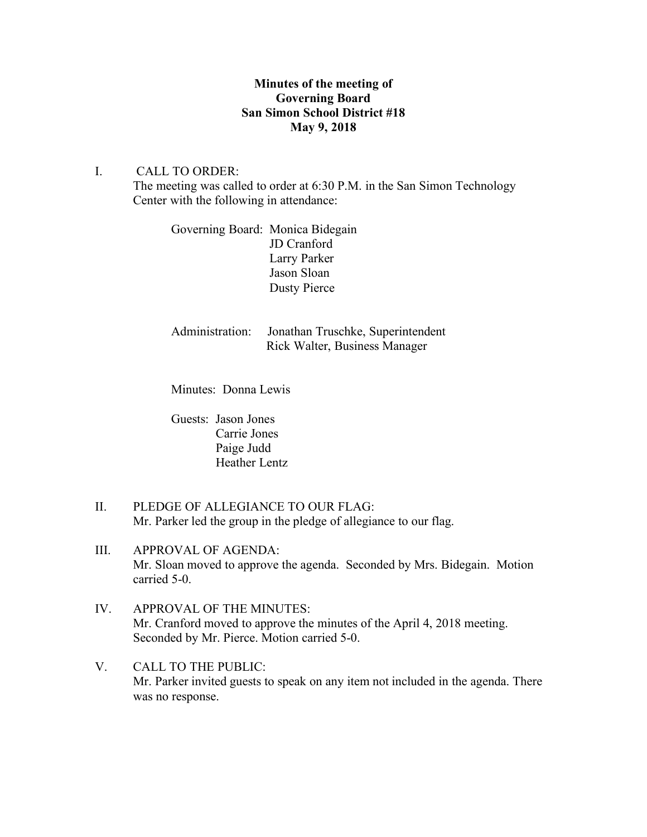## **Minutes of the meeting of Governing Board San Simon School District #18 May 9, 2018**

# I. CALL TO ORDER:

The meeting was called to order at 6:30 P.M. in the San Simon Technology Center with the following in attendance:

Governing Board: Monica Bidegain JD Cranford Larry Parker Jason Sloan Dusty Pierce

Administration: Jonathan Truschke, Superintendent Rick Walter, Business Manager

Minutes: Donna Lewis

Guests: Jason Jones Carrie Jones Paige Judd Heather Lentz

- II. PLEDGE OF ALLEGIANCE TO OUR FLAG: Mr. Parker led the group in the pledge of allegiance to our flag.
- III. APPROVAL OF AGENDA: Mr. Sloan moved to approve the agenda. Seconded by Mrs. Bidegain. Motion carried 5-0.
- IV. APPROVAL OF THE MINUTES: Mr. Cranford moved to approve the minutes of the April 4, 2018 meeting. Seconded by Mr. Pierce. Motion carried 5-0.
- V. CALL TO THE PUBLIC: Mr. Parker invited guests to speak on any item not included in the agenda. There was no response.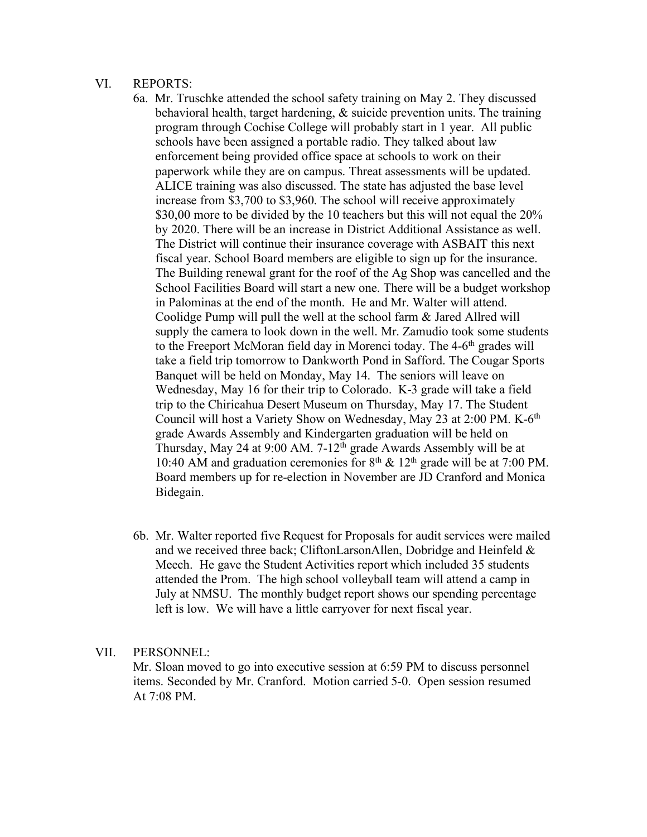#### VI. REPORTS:

- 6a. Mr. Truschke attended the school safety training on May 2. They discussed behavioral health, target hardening, & suicide prevention units. The training program through Cochise College will probably start in 1 year. All public schools have been assigned a portable radio. They talked about law enforcement being provided office space at schools to work on their paperwork while they are on campus. Threat assessments will be updated. ALICE training was also discussed. The state has adjusted the base level increase from \$3,700 to \$3,960. The school will receive approximately \$30,00 more to be divided by the 10 teachers but this will not equal the 20% by 2020. There will be an increase in District Additional Assistance as well. The District will continue their insurance coverage with ASBAIT this next fiscal year. School Board members are eligible to sign up for the insurance. The Building renewal grant for the roof of the Ag Shop was cancelled and the School Facilities Board will start a new one. There will be a budget workshop in Palominas at the end of the month. He and Mr. Walter will attend. Coolidge Pump will pull the well at the school farm & Jared Allred will supply the camera to look down in the well. Mr. Zamudio took some students to the Freeport McMoran field day in Morenci today. The 4-6<sup>th</sup> grades will take a field trip tomorrow to Dankworth Pond in Safford. The Cougar Sports Banquet will be held on Monday, May 14. The seniors will leave on Wednesday, May 16 for their trip to Colorado. K-3 grade will take a field trip to the Chiricahua Desert Museum on Thursday, May 17. The Student Council will host a Variety Show on Wednesday, May 23 at 2:00 PM. K-6<sup>th</sup> grade Awards Assembly and Kindergarten graduation will be held on Thursday, May 24 at 9:00 AM.  $7-12^{th}$  grade Awards Assembly will be at 10:40 AM and graduation ceremonies for  $8<sup>th</sup>$  & 12<sup>th</sup> grade will be at 7:00 PM. Board members up for re-election in November are JD Cranford and Monica Bidegain.
- 6b. Mr. Walter reported five Request for Proposals for audit services were mailed and we received three back; CliftonLarsonAllen, Dobridge and Heinfeld & Meech. He gave the Student Activities report which included 35 students attended the Prom. The high school volleyball team will attend a camp in July at NMSU. The monthly budget report shows our spending percentage left is low. We will have a little carryover for next fiscal year.

## VII. PERSONNEL:

Mr. Sloan moved to go into executive session at 6:59 PM to discuss personnel items. Seconded by Mr. Cranford. Motion carried 5-0. Open session resumed At 7:08 PM.